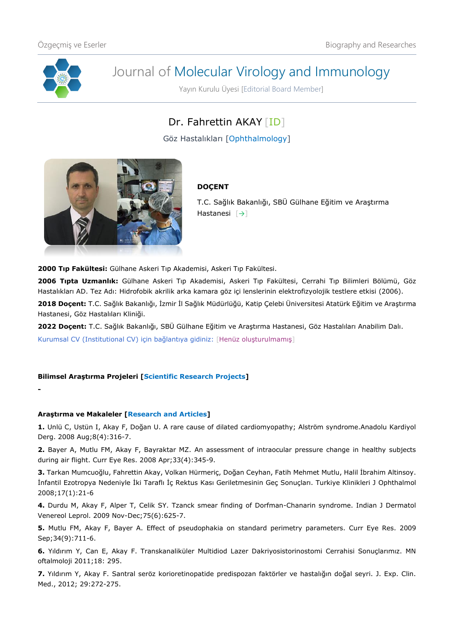

**-**

# Journal of Molecular Virology and Immunology

Yayın Kurulu Üyesi [Editorial Board Member]

## Dr. Fahrettin AKAY [\[ID\]](https://orcid.org/0000-0001-9679-9379)

Göz Hastalıkları [Ophthalmology]



### **DOÇENT**

T.C. Sağlık Bakanlığı, SBÜ Gülhane Eğitim ve Araştırma Hastanesi [[→](https://gulhaneeah.saglik.gov.tr/TR-114904/goz-hastaliklari.html)]

**2000 Tıp Fakültesi:** Gülhane Askeri Tıp Akademisi, Askeri Tıp Fakültesi.

**2006 Tıpta Uzmanlık:** Gülhane Askeri Tıp Akademisi, Askeri Tıp Fakültesi, Cerrahi Tıp Bilimleri Bölümü, Göz Hastalıkları AD. Tez Adı: Hidrofobik akrilik arka kamara göz içi lenslerinin elektrofizyolojik testlere etkisi (2006).

**2018 Doçent:** T.C. Sağlık Bakanlığı, İzmir İl Sağlık Müdürlüğü, Katip Çelebi Üniversitesi Atatürk Eğitim ve Araştırma Hastanesi, Göz Hastalıları Kliniği.

**2022 Doçent:** T.C. Sağlık Bakanlığı, SBÜ Gülhane Eğitim ve Araştırma Hastanesi, Göz Hastalıları Anabilim Dalı. Kurumsal CV (Institutional CV) için bağlantıya gidiniz: [Henüz oluşturulmamış]

#### **Bilimsel Araştırma Projeleri [Scientific Research Projects]**

#### **Araştırma ve Makaleler [Research and Articles]**

**1.** Unlü C, Ustün I, Akay F, Doğan U. A rare cause of dilated cardiomyopathy; Alström syndrome.Anadolu Kardiyol Derg. 2008 Aug;8(4):316-7.

**2.** Bayer A, Mutlu FM, Akay F, Bayraktar MZ. An assessment of intraocular pressure change in healthy subjects during air flight. Curr Eye Res. 2008 Apr;33(4):345-9.

**3.** Tarkan Mumcuoğlu, Fahrettin Akay, Volkan Hürmeriç, Doğan Ceyhan, Fatih Mehmet Mutlu, Halil İbrahim Altinsoy. İnfantil Ezotropya Nedeniyle İki Taraflı İç Rektus Kası Geriletmesinin Geç Sonuçları. Turkiye Klinikleri J Ophthalmol 2008;17(1):21-6

**4.** Durdu M, Akay F, Alper T, Celik SY. Tzanck smear finding of Dorfman-Chanarin syndrome. Indian J Dermatol Venereol Leprol. 2009 Nov-Dec;75(6):625-7.

**5.** Mutlu FM, Akay F, Bayer A. Effect of pseudophakia on standard perimetry parameters. Curr Eye Res. 2009 Sep;34(9):711-6.

**6.** Yıldırım Y, Can E, Akay F. Transkanaliküler Multidiod Lazer Dakriyosistorinostomi Cerrahisi Sonuçlarımız. MN oftalmoloji 2011;18: 295.

**7.** Yıldırım Y, Akay F. Santral seröz korioretinopatide predispozan faktörler ve hastalığın doğal seyri. J. Exp. Clin. Med., 2012; 29:272-275.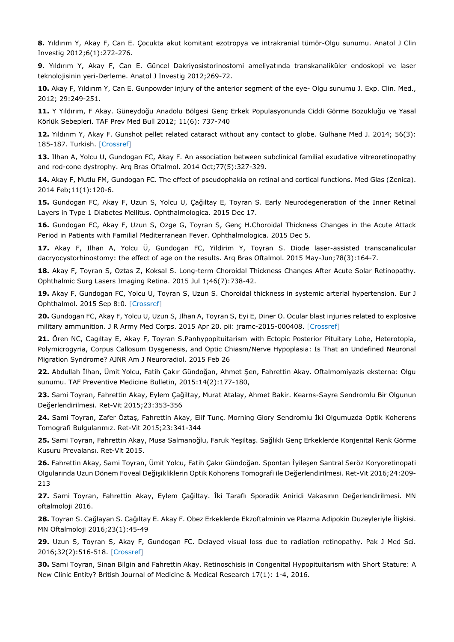**8.** Yıldırım Y, Akay F, Can E. Çocukta akut komitant ezotropya ve intrakranial tümör-Olgu sunumu. Anatol J Clin Investig 2012;6(1):272-276.

**9.** Yıldırım Y, Akay F, Can E. Güncel Dakriyosistorinostomi ameliyatında transkanaliküler endoskopi ve laser teknolojisinin yeri-Derleme. Anatol J Investig 2012;269-72.

**10.** Akay F, Yıldırım Y, Can E. Gunpowder injury of the anterior segment of the eye- Olgu sunumu J. Exp. Clin. Med., 2012; 29:249-251.

**11.** Y Yıldırım, F Akay. Güneydoğu Anadolu Bölgesi Genç Erkek Populasyonunda Ciddi Görme Bozukluğu ve Yasal Körlük Sebepleri. TAF Prev Med Bull 2012; 11(6): 737-740

**12.** Yıldırım Y, Akay F. Gunshot pellet related cataract without any contact to globe. Gulhane Med J. 2014; 56(3): 185-187. Turkish. [\[Crossref\]](https://doi.org/10.5455/gulhane.15496)

**13.** Ilhan A, Yolcu U, Gundogan FC, Akay F. An association between subclinical familial exudative vitreoretinopathy and rod-cone dystrophy. Arq Bras Oftalmol. 2014 Oct;77(5):327-329.

**14.** Akay F, Mutlu FM, Gundogan FC. The effect of pseudophakia on retinal and cortical functions. Med Glas (Zenica). 2014 Feb;11(1):120-6.

**15.** Gundogan FC, Akay F, Uzun S, Yolcu U, Çağıltay E, Toyran S. Early Neurodegeneration of the Inner Retinal Layers in Type 1 Diabetes Mellitus. Ophthalmologica. 2015 Dec 17.

**16.** Gundogan FC, Akay F, Uzun S, Ozge G, Toyran S, Genç H.Choroidal Thickness Changes in the Acute Attack Period in Patients with Familial Mediterranean Fever. Ophthalmologica. 2015 Dec 5.

**17.** Akay F, Ilhan A, Yolcu Ü, Gundogan FC, Yildirim Y, Toyran S. Diode laser-assisted transcanalicular dacryocystorhinostomy: the effect of age on the results. Arq Bras Oftalmol. 2015 May-Jun;78(3):164-7.

**18.** Akay F, Toyran S, Oztas Z, Koksal S. Long-term Choroidal Thickness Changes After Acute Solar Retinopathy. Ophthalmic Surg Lasers Imaging Retina. 2015 Jul 1;46(7):738-42.

**19.** Akay F, Gundogan FC, Yolcu U, Toyran S, Uzun S. Choroidal thickness in systemic arterial hypertension. Eur J Ophthalmol. 2015 Sep 8:0. [\[Crossref\]](https://doi.org/10.5301/ejo.5000675)

**20.** Gundogan FC, Akay F, Yolcu U, Uzun S, Ilhan A, Toyran S, Eyi E, Diner O. Ocular blast injuries related to explosive military ammunition. J R Army Med Corps. 2015 Apr 20. pii: jramc-2015-000408. [\[Crossref\]](https://doi.org/10.1136/jramc-2015-000408)

**21.** Ören NC, Cagıltay E, Akay F, Toyran S.Panhypopituitarism with Ectopic Posterior Pituitary Lobe, Heterotopia, Polymicrogyria, Corpus Callosum Dysgenesis, and Optic Chiasm/Nerve Hypoplasia: Is That an Undefined Neuronal Migration Syndrome? AJNR Am J Neuroradiol. 2015 Feb 26

**22.** Abdullah İlhan, Ümit Yolcu, Fatih Çakır Gündoğan, Ahmet Şen, Fahrettin Akay. Oftalmomiyazis eksterna: Olgu sunumu. TAF Preventive Medicine Bulletin, 2015:14(2):177-180,

**23.** Sami Toyran, Fahrettin Akay, Eylem Çağiltay, Murat Atalay, Ahmet Bakir. Kearns-Sayre Sendromlu Bir Olgunun Değerlendirilmesi. Ret-Vit 2015;23:353-356

**24.** Sami Toyran, Zafer Öztaş, Fahrettin Akay, Elif Tunç. Morning Glory Sendromlu İki Olgumuzda Optik Koherens Tomografi Bulgularımız. Ret-Vit 2015;23:341-344

**25.** Sami Toyran, Fahrettin Akay, Musa Salmanoğlu, Faruk Yeşiltaş. Sağlıklı Genç Erkeklerde Konjenital Renk Görme Kusuru Prevalansı. Ret-Vit 2015.

**26.** Fahrettin Akay, Sami Toyran, Ümit Yolcu, Fatih Çakır Gündoğan. Spontan İyileşen Santral Seröz Koryoretinopati Olgularında Uzun Dönem Foveal Değişikliklerin Optik Kohorens Tomografi ile Değerlendirilmesi. Ret-Vit 2016;24:209- 213

**27.** Sami Toyran, Fahrettin Akay, Eylem Çağiltay. İki Taraflı Sporadik Aniridi Vakasının Değerlendirilmesi. MN oftalmoloji 2016.

**28.** Toyran S. Cağlayan S. Cağıltay E. Akay F. Obez Erkeklerde Ekzoftalminin ve Plazma Adipokin Duzeyleriyle İlişkisi. MN Oftalmoloji 2016;23(1):45-49

**29.** Uzun S, Toyran S, Akay F, Gundogan FC. Delayed visual loss due to radiation retinopathy. Pak J Med Sci. 2016;32(2):516-518. [\[Crossref\]](https://doi.org/10.12669/pjms.322.9221)

**30.** Sami Toyran, Sinan Bilgin and Fahrettin Akay. Retinoschisis in Congenital Hypopituitarism with Short Stature: A New Clinic Entity? British Journal of Medicine & Medical Research 17(1): 1-4, 2016.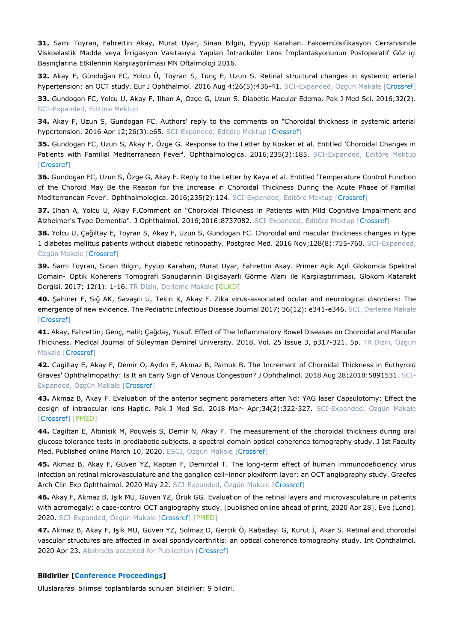**31.** Sami Toyran, Fahrettin Akay, Murat Uyar, Sinan Bilgin, Eyyüp Karahan. Fakoemülsifikasyon Cerrahisinde Viskoelastik Madde veya İrrigasyon Vasıtasıyla Yapılan İntraoküler Lens İmplantasyonunun Postoperatif Göz içi Basınçlarına Etkilerinin Karşılaştırılması MN Oftalmoloji 2016.

**32.** Akay F, Gündoğan FC, Yolcu Ü, Toyran S, Tunç E, Uzun S. Retinal structural changes in systemic arterial hypertension: an OCT study. Eur J Ophthalmol. 2016 Aug 4;26(5):436-41. SCI-Expanded, Özgün Makale [\[Crossref\]](https://doi.org/10.5301/ejo.5000740)

**33.** Gundogan FC, Yolcu U, Akay F, Ilhan A, Ozge G, Uzun S. Diabetic Macular Edema. Pak J Med Sci. 2016;32(2). SCI-Expanded, Editöre Mektup

**34.** Akay F, Uzun S, Gundogan FC. Authors' reply to the comments on "Choroidal thickness in systemic arterial hypertension. 2016 Apr 12;26(3):e65. SCI-Expanded, Editöre Mektup [\[Crossref\]](https://doi.org/10.5301/ejo.5000748)

**35.** Gundogan FC, Uzun S, Akay F, Özge G. Response to the Letter by Kosker et al. Entitled 'Choroidal Changes in Patients with Familial Mediterranean Fever'. Ophthalmologica. 2016;235(3):185. SCI-Expanded, Editöre Mektup [\[Crossref\]](https://doi.org/10.1159/000442216)

**36.** Gundogan FC, Uzun S, Özge G, Akay F. Reply to the Letter by Kaya et al. Entitled 'Temperature Control Function of the Choroid May Be the Reason for the Increase in Choroidal Thickness During the Acute Phase of Familial Mediterranean Fever'. Ophthalmologica. 2016;235(2):124. SCI-Expanded, Editöre Mektup [\[Crossref\]](https://doi.org/10.1159/000443752)

**37.** Ilhan A, Yolcu U, Akay F.Comment on "Choroidal Thickness in Patients with Mild Cognitive Impairment and Alzheimer's Type Dementia". J Ophthalmol. 2016;2016:8737082. SCI-Expanded, Editöre Mektup [\[Crossref\]](https://doi.org/10.1155/2016/8737082)

**38.** Yolcu U, Çağıltay E, Toyran S, Akay F, Uzun S, Gundogan FC. Choroidal and macular thickness changes in type 1 diabetes mellitus patients without diabetic retinopathy. Postgrad Med. 2016 Nov;128(8):755-760. SCI-Expanded, Özgün Makale [\[Crossref\]](https://doi.org/10.1080/00325481.2016.1210475)

**39.** Sami Toyran, Sinan Bilgin, Eyyüp Karahan, Murat Uyar, Fahrettin Akay. Primer Açık Açılı Glokomda Spektral Domain- Optik Koherens Tomografi Sonuçlarının Bilgisayarlı Görme Alanı ile Karşılaştırılması. Glokom Katarakt Dergisi. 2017; 12(1): 1-16. TR Dizin, Derleme Makale [\[GLKD\]](http://www.glaucomacataractjournal.com/index_pdf.php?l=tr&url=PDF_808.pdf)

**40.** Şahiner F, Sığ AK, Savaşcı U, Tekin K, Akay F. Zika virus-associated ocular and neurological disorders: The emergence of new evidence. The Pediatric Infectious Disease Journal 2017; 36(12): e341-e346. SCI, Derleme Makale [\[Crossref\]](https://doi.org/10.1097/INF.0000000000001689)

**41.** Akay, Fahrettin; Genç, Halil; Çağdaş, Yusuf. Effect of The Inflammatory Bowel Diseases on Choroidal and Macular Thickness. Medical Journal of Suleyman Demirel University. 2018, Vol. 25 Issue 3, p317-321. 5p. TR Dizin, Özgün Makale [\[Crossref\]](https://doi.org/10.17343/sdutfd.434235)

**42.** Cagiltay E, Akay F, Demir O, Aydın E, Akmaz B, Pamuk B. The Increment of Choroidal Thickness in Euthyroid Graves' Ophthalmopathy: Is It an Early Sign of Venous Congestion? J Ophthalmol. 2018 Aug 28;2018:5891531. SCI-Expanded, Özgün Makale [\[Crossref\]](https://doi.org/10.1155/2018/5891531)

**43.** Akmaz B, Akay F. Evaluation of the anterior segment parameters after Nd: YAG laser Capsulotomy: Effect the design of intraocular lens Haptic. Pak J Med Sci. 2018 Mar- Apr;34(2):322-327. SCI-Expanded, Özgün Makale [\[Crossref\]](https://doi.org/10.12669/pjms.342.12705) [\[PMED\]](https://pubmed.ncbi.nlm.nih.gov/29805401/)

**44.** Cagiltan E, Altinisik M, Pouwels S, Demir N, Akay F. The measurement of the choroidal thickness during oral glucose tolerance tests in prediabetic subjects. a spectral domain optical coherence tomography study. J Ist Faculty Med. Published online March 10, 2020. ESCI, Özgün Makale [\[Crossref\]](https://doi.org/10.26650/IUITFD.2019.0095)

**45.** Akmaz B, Akay F, Güven YZ, Kaptan F, Demirdal T. The long-term effect of human immunodeficiency virus infection on retinal microvasculature and the ganglion cell–inner plexiform layer: an OCT angiography study. Graefes Arch Clin Exp Ophthalmol. 2020 May 22. SCI-Expanded, Özgün Makale [\[Crossref\]](https://doi.org/10.1007/s00417-020-04749-x)

**46.** Akay F, Akmaz B, Işik MU, Güven YZ, Örük GG. Evaluation of the retinal layers and microvasculature in patients with acromegaly: a case-control OCT angiography study. [published online ahead of print, 2020 Apr 28]. Eye (Lond). 2020. SCI-Expanded, Özgün Makale [\[Crossref\]](https://doi.org/10.1038/s41433-020-0884-2) [\[PMED\]](https://pubmed.ncbi.nlm.nih.gov/32346112/)

**47.** Akmaz B, Akay F, Işik MU, Güven YZ, Solmaz D, Gercik Ö, Kabadayı G, Kurut İ, Akar S. Retinal and choroidal vascular structures are affected in axial spondyloarthritis: an optical coherence tomography study. Int Ophthalmol. 2020 Apr 23. Abstracts accepted for Publication [\[Crossref\]](https://doi.org/10.1007/s10792-020-01372-x)

#### **Bildiriler [Conference Proceedings]**

Uluslararası bilimsel toplantılarda sunulan bildiriler: 9 bildiri.